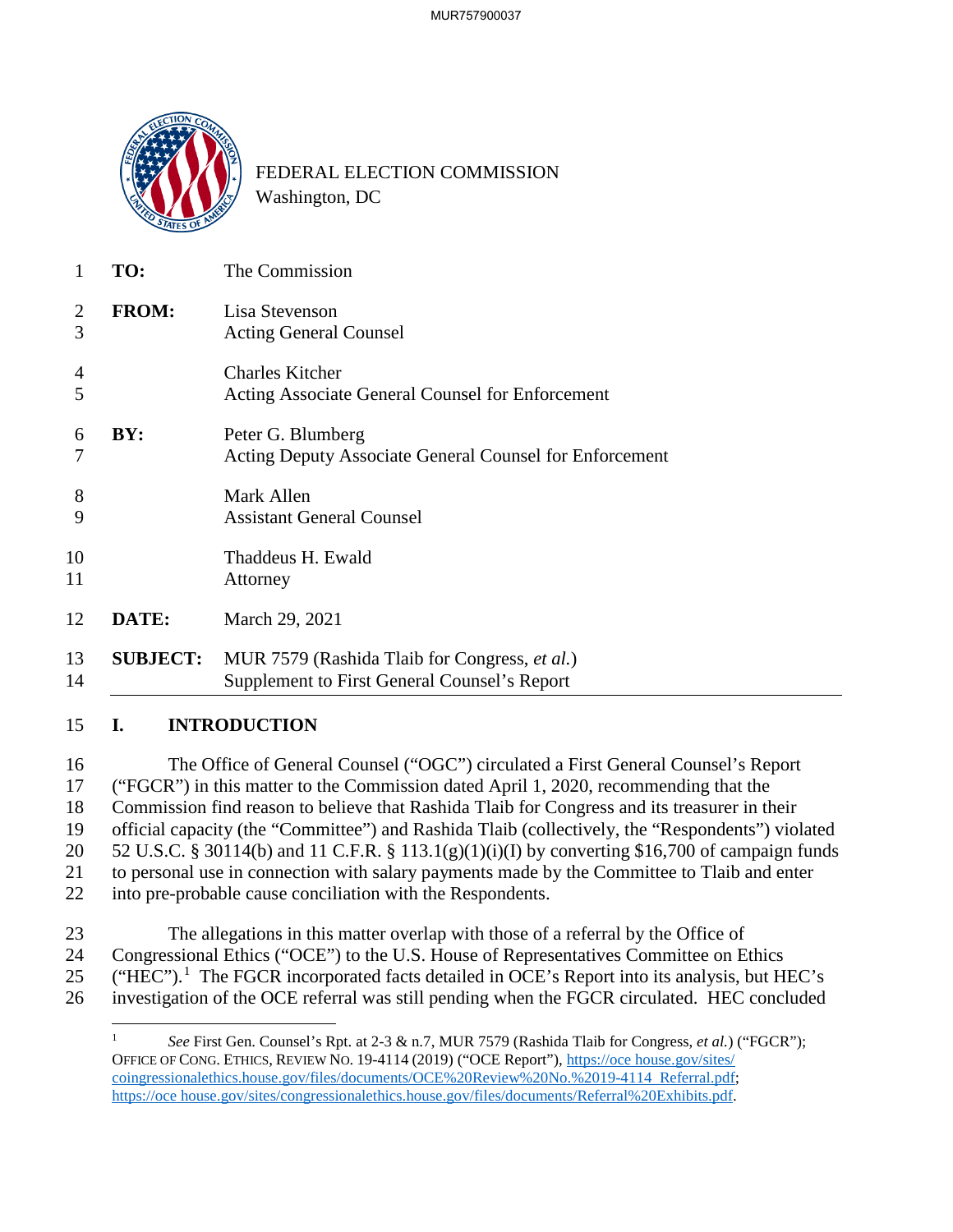

Washington, DC FEDERAL ELECTION COMMISSION

| TO:             | The Commission                                                                                |
|-----------------|-----------------------------------------------------------------------------------------------|
| <b>FROM:</b>    | Lisa Stevenson<br><b>Acting General Counsel</b>                                               |
|                 | <b>Charles Kitcher</b><br>Acting Associate General Counsel for Enforcement                    |
| BY:             | Peter G. Blumberg<br><b>Acting Deputy Associate General Counsel for Enforcement</b>           |
|                 | Mark Allen<br><b>Assistant General Counsel</b>                                                |
|                 | Thaddeus H. Ewald<br>Attorney                                                                 |
| DATE:           | March 29, 2021                                                                                |
| <b>SUBJECT:</b> | MUR 7579 (Rashida Tlaib for Congress, et al.)<br>Supplement to First General Counsel's Report |

16 The Office of General Counsel ("OGC") circulated a First General Counsel's Report 17 ("FGCR") in this matter to the Commission dated April 1, 2020, recommending that the 18 Commission find reason to believe that Rashida Tlaib for Congress and its treasurer in their 19 official capacity (the "Committee") and Rashida Tlaib (collectively, the "Respondents") violated 20 52 U.S.C. § 30114(b) and 11 C.F.R. § 113.1(g)(1)(i)(I) by converting \$16,700 of campaign funds 21 to personal use in connection with salary payments made by the Committee to Tlaib and enter 22 into pre-probable cause conciliation with the Respondents.

- 23 The allegations in this matter overlap with those of a referral by the Office of 24 Congressional Ethics ("OCE") to the U.S. House of Representatives Committee on Ethics
- 25 ("HEC").<sup>1</sup> The FGCR incorporated facts detailed in OCE's Report into its analysis, but HEC's 26 investigation of the OCE referral was still pending when the FGCR circulated. HEC concluded

 $\overline{a}$ OFFICE OF CONG. ETHICS, REVIEW NO. 19-4114 (2019) ("OCE Report"),<https://oce>[house.gov/sites](https://house.gov/sites)/ <sup>1</sup>*See* First Gen. Counsel's Rpt. at 2-3 & n.7, MUR 7579 (Rashida Tlaib for Congress, *et al.*) ("FGCR"); coingressionalethics.house.gov/files/documents/OCE%20Review%20No.%2019-4114 Referral.pdf; <https://oce>house.gov/sites/congressionalethics.house.gov/files/documents/Referral%20Exhibits.pdf.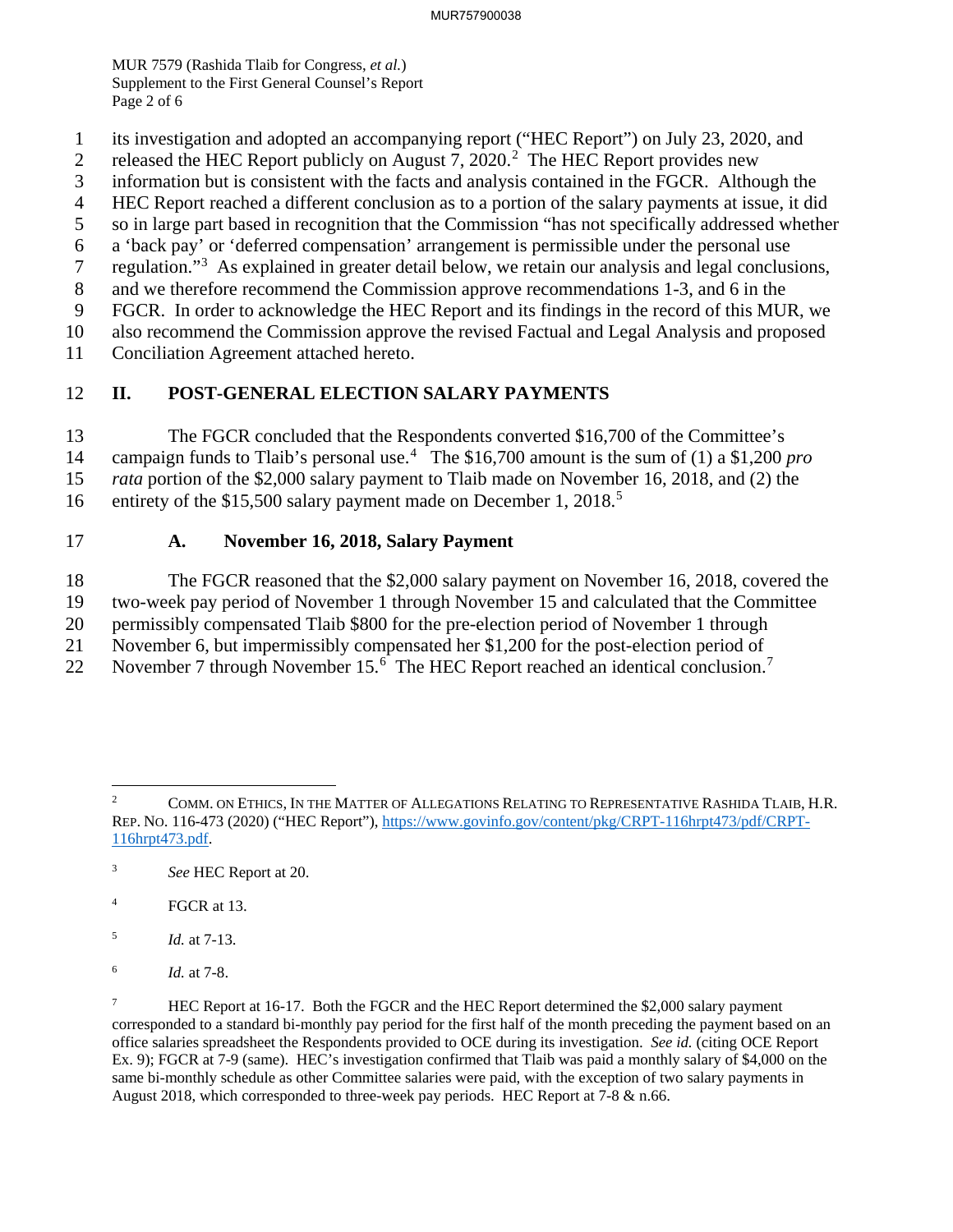MUR 7579 (Rashida Tlaib for Congress, *et al.*) Supplement to the First General Counsel's Report Page 2 of 6

- 1 its investigation and adopted an accompanying report ("HEC Report") on July 23, 2020, and
- 2 released the HEC Report publicly on August 7, 2020.<sup>2</sup> The HEC Report provides new
- 3 information but is consistent with the facts and analysis contained in the FGCR. Although the
- 4 HEC Report reached a different conclusion as to a portion of the salary payments at issue, it did
- 5 so in large part based in recognition that the Commission "has not specifically addressed whether
- 6 a 'back pay' or 'deferred compensation' arrangement is permissible under the personal use
- 7 regulation."<sup>3</sup> As explained in greater detail below, we retain our analysis and legal conclusions,
- 8 and we therefore recommend the Commission approve recommendations 1-3, and 6 in the
- 9 FGCR. In order to acknowledge the HEC Report and its findings in the record of this MUR, we
- 10 also recommend the Commission approve the revised Factual and Legal Analysis and proposed
- Conciliation Agreement attached hereto.

# 11 Conciliation Agreement attached hereto.<br>12 **II. POST-GENERAL ELECTION SALARY PAYMENTS**

13 The FGCR concluded that the Respondents converted \$16,700 of the Committee's 14 campaign funds to Tlaib's personal use.<sup>4</sup> The \$16,700 amount is the sum of (1) a \$1,200 *pro*  15 *rata* portion of the \$2,000 salary payment to Tlaib made on November 16, 2018, and (2) the

16 entirety of the \$15,500 salary payment made on December 1, 2018.<sup>5</sup>

## 17 **A. November 16, 2018, Salary Payment**

18 The FGCR reasoned that the \$2,000 salary payment on November 16, 2018, covered the

- 19 two-week pay period of November 1 through November 15 and calculated that the Committee
- 20 permissibly compensated Tlaib \$800 for the pre-election period of November 1 through
- 21 November 6, but impermissibly compensated her \$1,200 for the post-election period of
- 22 November 7 through November 15. $<sup>6</sup>$  The HEC Report reached an identical conclusion.<sup>7</sup></sup>

 $\sqrt{4}$ FGCR at 13.

 $\sqrt{6}$ <sup>6</sup>*Id.* at 7-8.

 $\overline{a}$  $\overline{2}$ 2 COMM. ON ETHICS, IN THE MATTER OF ALLEGATIONS RELATING TO REPRESENTATIVE RASHIDA TLAIB, H.R. REP. NO. 116-473 (2020) ("HEC Report"), https://www.govinfo.gov/content/pkg/CRPT-116hrpt473/pdf/CRPT-116hrpt473.pdf.

 $\sqrt{3}$ <sup>3</sup>*See* HEC Report at 20.

 $\sqrt{5}$ <sup>5</sup>*Id.* at 7-13.

 $\overline{\mathcal{I}}$  corresponded to a standard bi-monthly pay period for the first half of the month preceding the payment based on an office salaries spreadsheet the Respondents provided to OCE during its investigation. *See id.* (citing OCE Report Ex. 9); FGCR at 7-9 (same). HEC's investigation confirmed that Tlaib was paid a monthly salary of \$4,000 on the same bi-monthly schedule as other Committee salaries were paid, with the exception of two salary payments in August 2018, which corresponded to three-week pay periods. HEC Report at 7-8 & n.66. 7 HEC Report at 16-17. Both the FGCR and the HEC Report determined the \$2,000 salary payment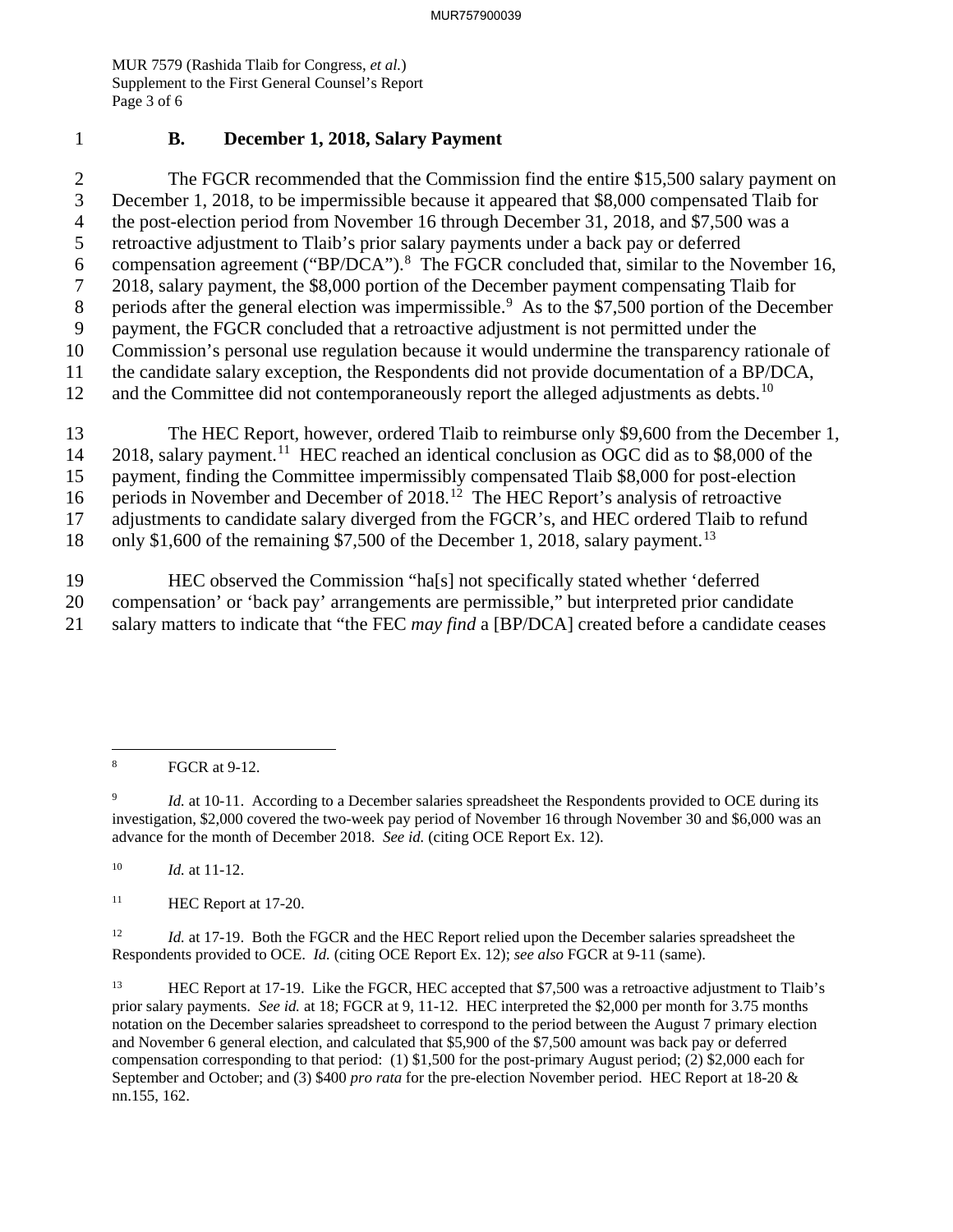MUR 7579 (Rashida Tlaib for Congress, *et al.*) Supplement to the First General Counsel's Report Page 3 of 6

### 1 **B. December 1, 2018, Salary Payment**

6 compensation agreement ("BP/DCA").<sup>8</sup> The FGCR concluded that, similar to the November 16, 12 and the Committee did not contemporaneously report the alleged adjustments as [debts.](https://debts.10)<sup>10</sup> 2 The FGCR recommended that the Commission find the entire \$15,500 salary payment on 3 December 1, 2018, to be impermissible because it appeared that \$8,000 compensated Tlaib for 4 the post-election period from November 16 through December 31, 2018, and \$7,500 was a 5 retroactive adjustment to Tlaib's prior salary payments under a back pay or deferred 7 2018, salary payment, the \$8,000 portion of the December payment compensating Tlaib for 8 periods after the general election was impermissible.<sup>9</sup> As to the \$7,500 portion of the December 9 payment, the FGCR concluded that a retroactive adjustment is not permitted under the 10 Commission's personal use regulation because it would undermine the transparency rationale of 11 the candidate salary exception, the Respondents did not provide documentation of a BP/DCA,

16 periods in November and December of 2018.<sup>12</sup> The HEC Report's analysis of retroactive 13 The HEC Report, however, ordered Tlaib to reimburse only \$9,600 from the December 1, 14 2018, salary [payment.](https://payment.11)<sup>11</sup> HEC reached an identical conclusion as OGC did as to \$8,000 of the 15 payment, finding the Committee impermissibly compensated Tlaib \$8,000 for post-election 17 adjustments to candidate salary diverged from the FGCR's, and HEC ordered Tlaib to refund

18 only \$1,600 of the remaining \$7,500 of the December 1, 2018, salary [payment.](https://payment.13)<sup>13</sup>

 21 salary matters to indicate that "the FEC *may find* a [BP/DCA] created before a candidate ceases 19 HEC observed the Commission "ha[s] not specifically stated whether 'deferred 20 compensation' or 'back pay' arrangements are permissible," but interpreted prior candidate

 $10\,$ <sup>10</sup>*Id.* at 11-12.

 $11\,$ HEC Report at 17-20.

 $12 \,$  Respondents provided to OCE. *Id.* (citing OCE Report Ex. 12); *see also* FGCR at 9-11 (same). <sup>12</sup>*Id.* at 17-19. Both the FGCR and the HEC Report relied upon the December salaries spreadsheet the

 $13\,$  prior salary payments. *See id.* at 18; FGCR at 9, 11-12. HEC interpreted the \$2,000 per month for 3.75 months notation on the December salaries spreadsheet to correspond to the period between the August 7 primary election and November 6 general election, and calculated that \$5,900 of the \$7,500 amount was back pay or deferred compensation corresponding to that period: (1) \$1,500 for the post-primary August period; (2) \$2,000 each for September and October; and (3) \$400 *pro rata* for the pre-election November period. HEC Report at 18-20 & 13 HEC Report at 17-19. Like the FGCR, HEC accepted that \$7,500 was a retroactive adjustment to Tlaib's nn.155, 162.

 $\overline{a}$  $\bf 8$ FGCR at 9-12.

 $\overline{9}$  investigation, \$2,000 covered the two-week pay period of November 16 through November 30 and \$6,000 was an advance for the month of December 2018. *See id.* (citing OCE Report Ex. 12). *Id.* at 10-11. According to a December salaries spreadsheet the Respondents provided to OCE during its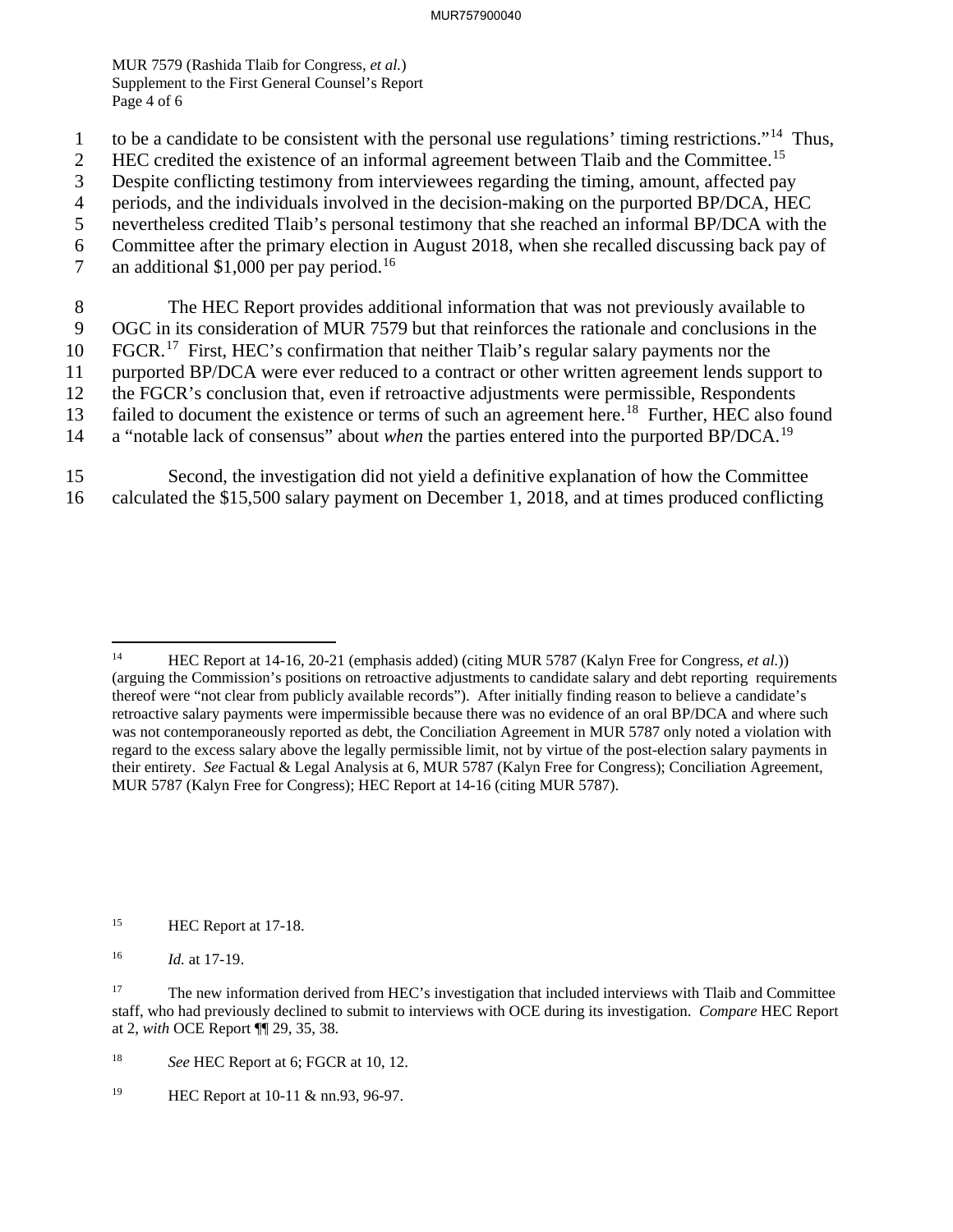MUR 7579 (Rashida Tlaib for Congress, *et al.*) Supplement to the First General Counsel's Report Page 4 of 6

- 1 to be a candidate to be consistent with the personal use regulations' timing restrictions."14 Thus,
- 2 HEC credited the existence of an informal agreement between Tlaib and the [Committee.](https://Committee.15)<sup>15</sup>
- 3 Despite conflicting testimony from interviewees regarding the timing, amount, affected pay
- 4 periods, and the individuals involved in the decision-making on the purported BP/DCA, HEC
- 5 nevertheless credited Tlaib's personal testimony that she reached an informal BP/DCA with the
- 6 Committee after the primary election in August 2018, when she recalled discussing back pay of
- 7 an additional \$1,000 per pay [period.](https://period.16)<sup>16</sup>
- 8 The HEC Report provides additional information that was not previously available to 9 OGC in its consideration of MUR 7579 but that reinforces the rationale and conclusions in the
- 10 FGCR.<sup>17</sup> First, HEC's confirmation that neither Tlaib's regular salary payments nor the

11 purported BP/DCA were ever reduced to a contract or other written agreement lends support to

- 12 the FGCR's conclusion that, even if retroactive adjustments were permissible, Respondents
- 13 failed to document the existence or terms of such an agreement here.<sup>18</sup> Further, HEC also found
- 14 a "notable lack of consensus" about *when* the parties entered into the purported [BP/DCA.](https://BP/DCA.19)<sup>19</sup>
- 15 Second, the investigation did not yield a definitive explanation of how the Committee 16 calculated the \$15,500 salary payment on December 1, 2018, and at times produced conflicting

 $\overline{a}$ 

 (arguing the Commission's positions on retroactive adjustments to candidate salary and debt reporting requirements thereof were "not clear from publicly available records"). After initially finding reason to believe a candidate's retroactive salary payments were impermissible because there was no evidence of an oral BP/DCA and where such was not contemporaneously reported as debt, the Conciliation Agreement in MUR 5787 only noted a violation with regard to the excess salary above the legally permissible limit, not by virtue of the post-election salary payments in their entirety. *See* Factual & Legal Analysis at 6, MUR 5787 (Kalyn Free for Congress); Conciliation Agreement, MUR 5787 (Kalyn Free for Congress); HEC Report at 14-16 (citing MUR 5787). 14 HEC Report at 14-16, 20-21 (emphasis added) (citing MUR 5787 (Kalyn Free for Congress, *et al.*))

 $15\,$ HEC Report at 17-18.

 $16\,$ <sup>16</sup>*Id.* at 17-19.

<sup>17</sup>  staff, who had previously declined to submit to interviews with OCE during its investigation. *Compare* HEC Report at 2, *with* OCE Report ¶¶ 29, 35, 38. 17 The new information derived from HEC's investigation that included interviews with Tlaib and Committee

 $18\,$ See HEC Report at 6; FGCR at 10, 12.

<sup>19</sup> 19 HEC Report at 10-11 & nn.93, 96-97.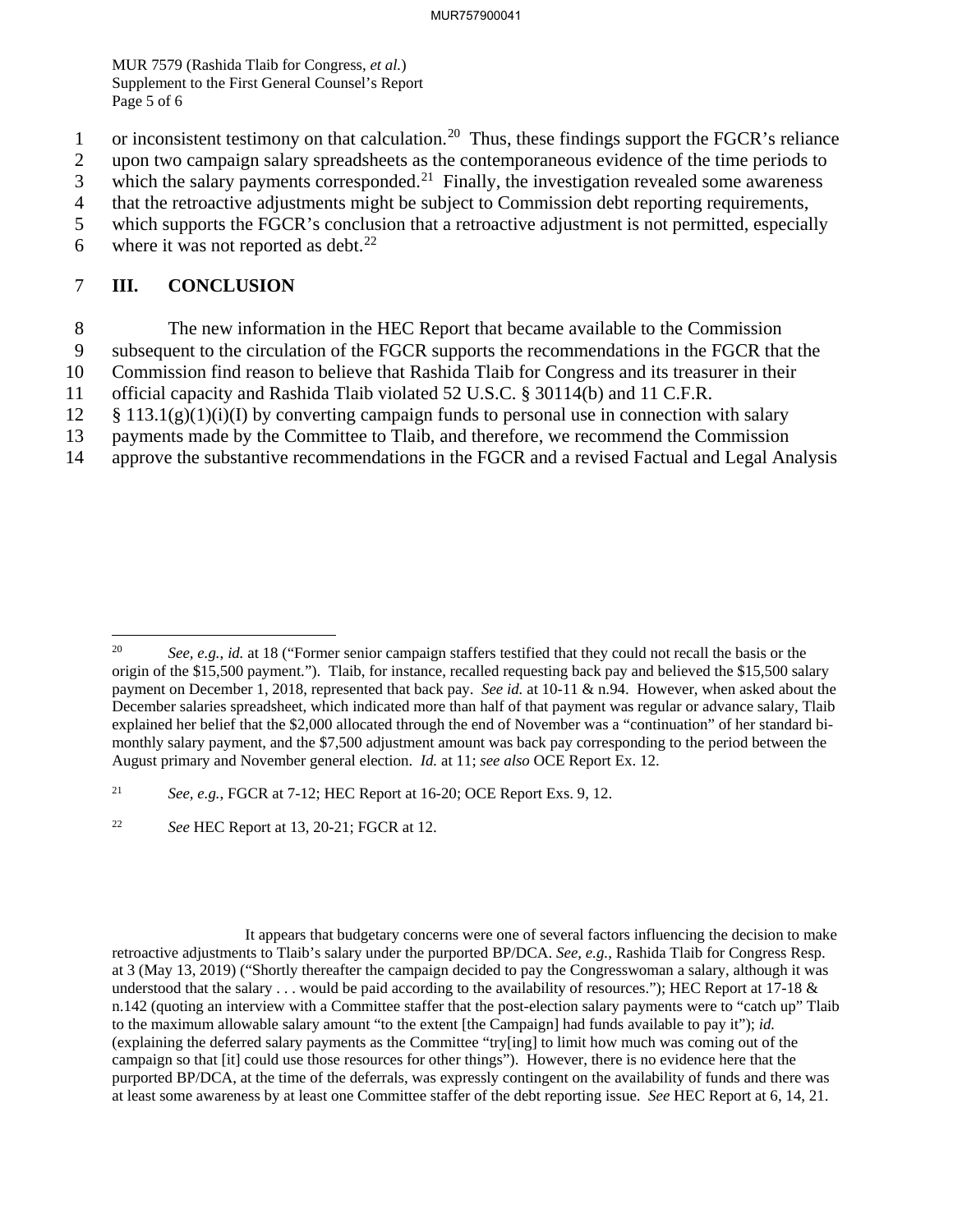MUR 7579 (Rashida Tlaib for Congress, *et al.*) Supplement to the First General Counsel's Report Page 5 of 6

- 1 or inconsistent testimony on that [calculation.](https://calculation.20)<sup>20</sup> Thus, these findings support the FGCR's reliance
- 2 upon two campaign salary spreadsheets as the contemporaneous evidence of the time periods to
- $\frac{1}{3}$  which the salary payments [corresponded.](https://corresponded.21)<sup>21</sup> Finally, the investigation revealed some awareness
- 4 that the retroactive adjustments might be subject to Commission debt reporting requirements,
- 5 which supports the FGCR's conclusion that a retroactive adjustment is not permitted, especially
- 6 where it was not reported as debt.<sup>22</sup>

### 7 **III. CONCLUSION**

-

- 8 The new information in the HEC Report that became available to the Commission
- 9 subsequent to the circulation of the FGCR supports the recommendations in the FGCR that the
- 10 Commission find reason to believe that Rashida Tlaib for Congress and its treasurer in their
- 11 official capacity and Rashida Tlaib violated 52 U.S.C. § 30114(b) and 11 C.F.R.
- $12 \frac{1}{3}$  113.1(g)(1)(i)(I) by converting campaign funds to personal use in connection with salary
- 13 payments made by the Committee to Tlaib, and therefore, we recommend the Commission
- 14 approve the substantive recommendations in the FGCR and a revised Factual and Legal Analysis

 $22\,$ <sup>22</sup>*See* HEC Report at 13, 20-21; FGCR at 12.

 retroactive adjustments to Tlaib's salary under the purported BP/DCA. *See, e.g.*, Rashida Tlaib for Congress Resp. at 3 (May 13, 2019) ("Shortly thereafter the campaign decided to pay the Congresswoman a salary, although it was understood that the salary  $\dots$  would be paid according to the availability of resources."); HEC Report at 17-18  $\&$  n.142 (quoting an interview with a Committee staffer that the post-election salary payments were to "catch up" Tlaib to the maximum allowable salary amount "to the extent [the Campaign] had funds available to pay it"); *id.*  (explaining the deferred salary payments as the Committee "try[ing] to limit how much was coming out of the campaign so that [it] could use those resources for other things"). However, there is no evidence here that the purported BP/DCA, at the time of the deferrals, was expressly contingent on the availability of funds and there was at least some awareness by at least one Committee staffer of the debt reporting issue. *See* HEC Report at 6, 14, 21. It appears that budgetary concerns were one of several factors influencing the decision to make

 origin of the \$15,500 payment."). Tlaib, for instance, recalled requesting back pay and believed the \$15,500 salary payment on December 1, 2018, represented that back pay. *See id.* at 10-11 & n.94. However, when asked about the December salaries spreadsheet, which indicated more than half of that payment was regular or advance salary, Tlaib explained her belief that the \$2,000 allocated through the end of November was a "continuation" of her standard bi- monthly salary payment, and the \$7,500 adjustment amount was back pay corresponding to the period between the August primary and November general election. *Id.* at 11; *see also* OCE Report Ex. 12. <sup>20</sup>*See, e.g.*, *id.* at 18 ("Former senior campaign staffers testified that they could not recall the basis or the

 $21$ <sup>21</sup>*See, e.g.*, FGCR at 7-12; HEC Report at 16-20; OCE Report Exs. 9, 12.